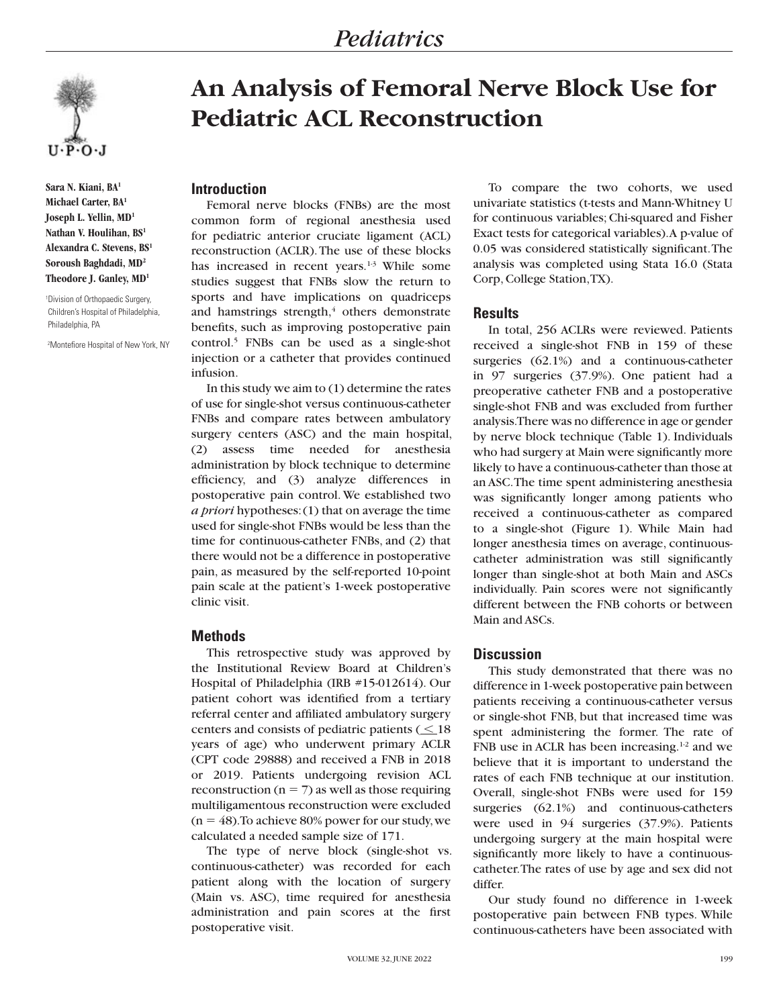

**Sara N. Kiani, BA1 Michael Carter, BA1 Joseph L. Yellin, MD1 Nathan V. Houlihan, BS1 Alexandra C. Stevens, BS1 Soroush Baghdadi, MD2 Theodore J. Ganley, MD1**

1 Division of Orthopaedic Surgery, Children's Hospital of Philadelphia, Philadelphia, PA

2 Montefiore Hospital of New York, NY

# **An Analysis of Femoral Nerve Block Use for Pediatric ACL Reconstruction**

#### **Introduction**

Femoral nerve blocks (FNBs) are the most common form of regional anesthesia used for pediatric anterior cruciate ligament (ACL) reconstruction (ACLR). The use of these blocks has increased in recent years.<sup>1-3</sup> While some studies suggest that FNBs slow the return to sports and have implications on quadriceps and hamstrings strength, $4$  others demonstrate benefits, such as improving postoperative pain control.5 FNBs can be used as a single-shot injection or a catheter that provides continued infusion.

In this study we aim to (1) determine the rates of use for single-shot versus continuous-catheter FNBs and compare rates between ambulatory surgery centers (ASC) and the main hospital, (2) assess time needed for anesthesia administration by block technique to determine efficiency, and (3) analyze differences in postoperative pain control. We established two *a priori* hypotheses: (1) that on average the time used for single-shot FNBs would be less than the time for continuous-catheter FNBs, and (2) that there would not be a difference in postoperative pain, as measured by the self-reported 10-point pain scale at the patient's 1-week postoperative clinic visit.

### **Methods**

This retrospective study was approved by the Institutional Review Board at Children's Hospital of Philadelphia (IRB #15-012614). Our patient cohort was identified from a tertiary referral center and affiliated ambulatory surgery centers and consists of pediatric patients  $($   $\leq$  18 years of age) who underwent primary ACLR (CPT code 29888) and received a FNB in 2018 or 2019. Patients undergoing revision ACL reconstruction ( $n = 7$ ) as well as those requiring multiligamentous reconstruction were excluded  $(n = 48)$ . To achieve 80% power for our study, we calculated a needed sample size of 171.

The type of nerve block (single-shot vs. continuous-catheter) was recorded for each patient along with the location of surgery (Main vs. ASC), time required for anesthesia administration and pain scores at the first postoperative visit.

To compare the two cohorts, we used univariate statistics (t-tests and Mann-Whitney U for continuous variables; Chi-squared and Fisher Exact tests for categorical variables). A p-value of 0.05 was considered statistically significant. The analysis was completed using Stata 16.0 (Stata Corp, College Station, TX).

### **Results**

In total, 256 ACLRs were reviewed. Patients received a single-shot FNB in 159 of these surgeries (62.1%) and a continuous-catheter in 97 surgeries (37.9%). One patient had a preoperative catheter FNB and a postoperative single-shot FNB and was excluded from further analysis. There was no difference in age or gender by nerve block technique (Table 1). Individuals who had surgery at Main were significantly more likely to have a continuous-catheter than those at an ASC. The time spent administering anesthesia was significantly longer among patients who received a continuous-catheter as compared to a single-shot (Figure 1). While Main had longer anesthesia times on average, continuouscatheter administration was still significantly longer than single-shot at both Main and ASCs individually. Pain scores were not significantly different between the FNB cohorts or between Main and ASCs.

## **Discussion**

This study demonstrated that there was no difference in 1-week postoperative pain between patients receiving a continuous-catheter versus or single-shot FNB, but that increased time was spent administering the former. The rate of FNB use in ACLR has been increasing.<sup>1-2</sup> and we believe that it is important to understand the rates of each FNB technique at our institution. Overall, single-shot FNBs were used for 159 surgeries (62.1%) and continuous-catheters were used in 94 surgeries (37.9%). Patients undergoing surgery at the main hospital were significantly more likely to have a continuouscatheter. The rates of use by age and sex did not differ.

Our study found no difference in 1-week postoperative pain between FNB types. While continuous-catheters have been associated with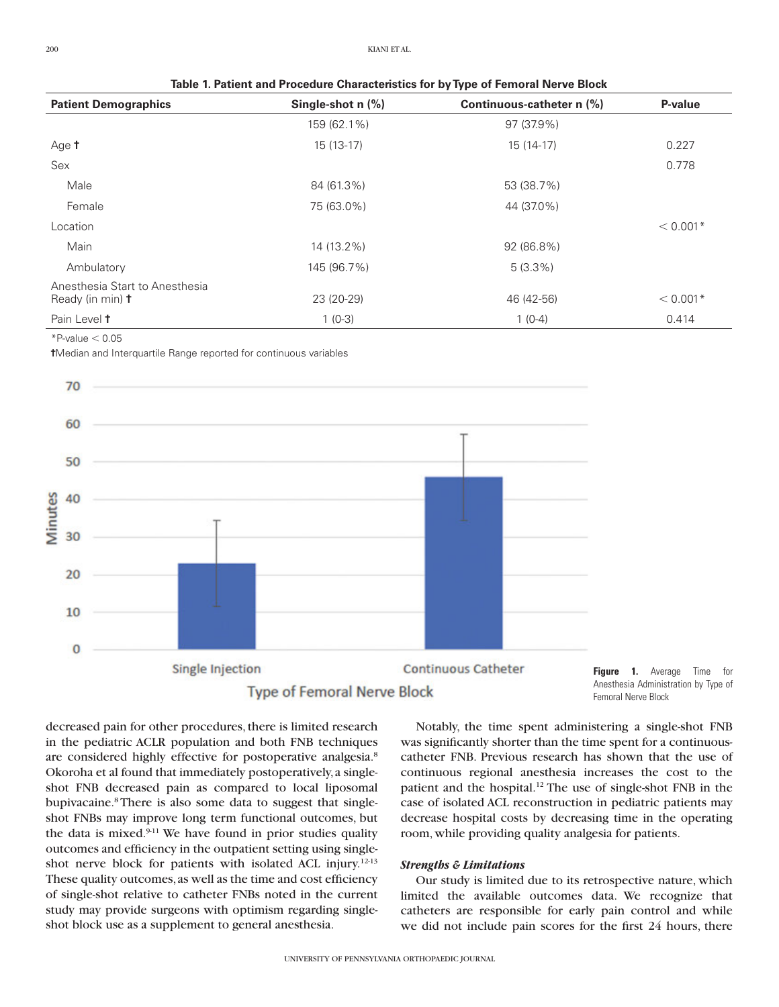**Table 1. Patient and Procedure Characteristics for by Type of Femoral Nerve Block**

| <b>Patient Demographics</b>                               | Single-shot n (%) | Continuous-catheter n (%) | P-value    |
|-----------------------------------------------------------|-------------------|---------------------------|------------|
|                                                           | 159 (62.1%)       | 97 (37.9%)                |            |
| Age t                                                     | $15(13-17)$       | 15 (14-17)                | 0.227      |
| Sex                                                       |                   |                           | 0.778      |
| Male                                                      | 84 (61.3%)        | 53 (38.7%)                |            |
| Female                                                    | 75 (63.0%)        | 44 (37.0%)                |            |
| Location                                                  |                   |                           | $< 0.001*$ |
| Main                                                      | 14 (13.2%)        | 92 (86.8%)                |            |
| Ambulatory                                                | 145 (96.7%)       | $5(3.3\%)$                |            |
| Anesthesia Start to Anesthesia<br>Ready (in min) <b>t</b> | 23 (20-29)        | 46 (42-56)                | $< 0.001*$ |
| Pain Level t                                              | $1(0-3)$          | $1(0-4)$                  | 0.414      |

 $*P$ -value  $< 0.05$ 

**†**Median and Interquartile Range reported for continuous variables





decreased pain for other procedures, there is limited research in the pediatric ACLR population and both FNB techniques are considered highly effective for postoperative analgesia.<sup>8</sup> Okoroha et al found that immediately postoperatively, a singleshot FNB decreased pain as compared to local liposomal bupivacaine.8 There is also some data to suggest that singleshot FNBs may improve long term functional outcomes, but the data is mixed. $911$  We have found in prior studies quality outcomes and efficiency in the outpatient setting using singleshot nerve block for patients with isolated ACL injury.12-13 These quality outcomes, as well as the time and cost efficiency of single-shot relative to catheter FNBs noted in the current study may provide surgeons with optimism regarding singleshot block use as a supplement to general anesthesia.

Notably, the time spent administering a single-shot FNB was significantly shorter than the time spent for a continuouscatheter FNB. Previous research has shown that the use of continuous regional anesthesia increases the cost to the patient and the hospital.12 The use of single-shot FNB in the case of isolated ACL reconstruction in pediatric patients may decrease hospital costs by decreasing time in the operating room, while providing quality analgesia for patients.

#### *Strengths & Limitations*

Our study is limited due to its retrospective nature, which limited the available outcomes data. We recognize that catheters are responsible for early pain control and while we did not include pain scores for the first 24 hours, there